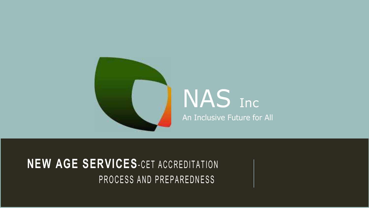

# NAS Inc An Inclusive Future for All

## **NEW AGE SERVICES**-CET ACCREDITATION PROCESS AND PREPAREDNESS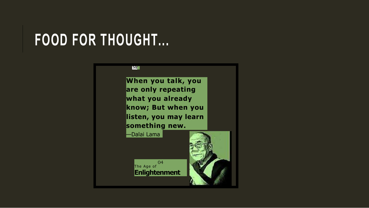# **FOOD FOR THOUGHT...**

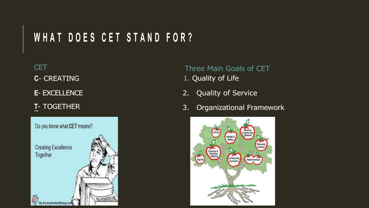# WHAT DOES CET STAND FOR?

**CET C**- CREATING

- **E** EXCELLENCE
- **T** TOGETHER



Three Main Goals of CET

- 1. Quality of Life
- 2. Quality of Service
- 3. Organizational Framework

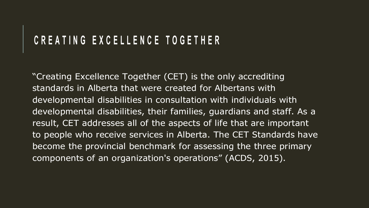### **C R E A T I N G E X C E L L E N C E T O G E T H E R**

"Creating Excellence Together (CET) is the only accrediting standards in Alberta that were created for Albertans with developmental disabilities in consultation with individuals with developmental disabilities, their families, guardians and staff. As a result, CET addresses all of the aspects of life that are important to people who receive services in Alberta. The CET Standards have become the provincial benchmark for assessing the three primary components of an organization's operations" (ACDS, 2015).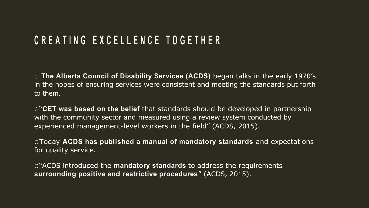## **C R E A T I N G E X C E L L E N C E T O G E T H E R**

o **The Alberta Council of Disability Services (ACDS)** began talks in the early 1970's in the hopes of ensuring services were consistent and meeting the standards put forth to them.

o"**CET was based on the belief** that standards should be developed in partnership with the community sector and measured using a review system conducted by experienced management-level workers in the field" (ACDS, 2015).

oToday **ACDS has published a manual of mandatory standards** and expectations for quality service.

o"ACDS introduced the **mandatory standards** to address the requirements **surrounding positive and restrictive procedures**" (ACDS, 2015).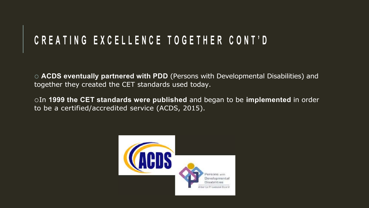## **C R E A T I N G E X C E L L E N C E T O G E T H E R C O N T ' D**

o **ACDS eventually partnered with PDD** (Persons with Developmental Disabilities) and together they created the CET standards used today.

oIn **1999 the CET standards were published** and began to be **implemented** in order to be a certified/accredited service (ACDS, 2015).

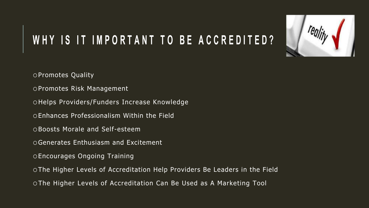# WHY IS IT IMPORTANT TO BE ACCREDITED?



- oPromotes Risk Management
- oHelps Providers/Funders Increase Knowledge
- oEnhances Professionalism Within the Field
- oBoosts Morale and Self-esteem
- oGenerates Enthusiasm and Excitement
- oEncourages Ongoing Training
- oThe Higher Levels of Accreditation Help Providers Be Leaders in the Field
- oThe Higher Levels of Accreditation Can Be Used as A Marketing Tool

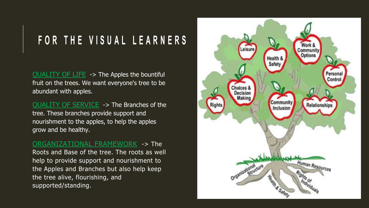# **F O R T H E V I S U A L L E A R N E R S**

QUALITY OF LIFE -> The Apples the bountiful fruit on the trees. We want everyone's tree to be abundant with apples.

QUALITY OF SERVICE -> The Branches of the tree. These branches provide support and nourishment to the apples, to help the apples grow and be healthy.

ORGANIZATIONAL FRAMEWORK -> The Roots and Base of the tree. The roots as well help to provide support and nourishment to the Apples and Branches but also help keep the tree alive, flourishing, and supported/standing.

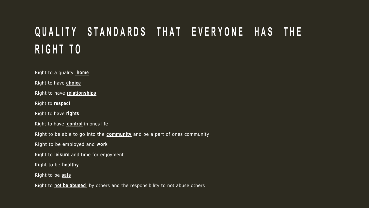# **QUALITY STANDARDS THAT EVERYONE HAS THE R I G H T T O**

Right to a quality **home**  Right to have **choice**  Right to have **relationships**  Right to **respect**  Right to have **rights**  Right to have **control** in ones life Right to be able to go into the **community** and be a part of ones community Right to be employed and **work**  Right to **leisure** and time for enjoyment Right to be **healthy** Right to be **safe** 

Right to **not be abused** by others and the responsibility to not abuse others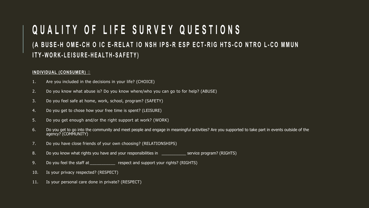### **Q U A L I T Y O F L I F E S U R V E Y Q U E S T I O N S ( A B U S E - H O M E -C H O I C E - R E L A T I O N S H I P S -R E S P E C T - R I G H T S - C O N T R O L - C O M M U N I T Y - W O R K - L E I S U R E - H E A L T H - S A F E T Y )**

#### **INDIVIDUAL (CONSUMER)**

- 1. Are you included in the decisions in your life? (CHOICE)
- 2. Do you know what abuse is? Do you know where/who you can go to for help? (ABUSE)
- 3. Do you feel safe at home, work, school, program? (SAFETY)
- 4. Do you get to chose how your free time is spent? (LEISURE)
- 5. Do you get enough and/or the right support at work? (WORK)
- 6. Do you get to go into the community and meet people and engage in meaningful activities? Are you supported to take part in events outside of the agency? (COMMUNITY)
- 7. Do you have close friends of your own choosing? (RELATIONSHIPS)
- 8. Do you know what rights you have and your responsibilities in \_\_\_\_\_\_\_\_\_\_\_\_\_ service program? (RIGHTS)
- 9. Do you feel the staff at \_\_\_\_\_\_\_\_\_\_\_\_ respect and support your rights? (RIGHTS)
- 10. Is your privacy respected? (RESPECT)
- 11. Is your personal care done in private? (RESPECT)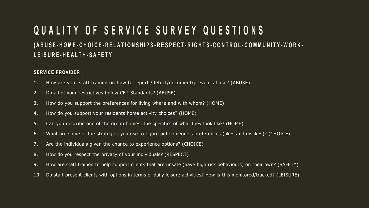### **Q U A L I T Y O F S E R V I C E S U R V E Y Q U E S T I O N S** (ABUSE-HOME-CHOICE-RELATIONSHIPS-RESPECT-RIGHTS-CONTROL-COMMUNITY-WORK-**L E I S U R E - H E A L T H - S A F E T Y**

#### **SERVICE PROVIDER**

- 1. How are your staff trained on how to report /detect/document/prevent abuse? (ABUSE)
- 2. Do all of your restrictives follow CET Standards? (ABUSE)
- 3. How do you support the preferences for living where and with whom? (HOME)
- 4. How do you support your residents home activity choices? (HOME)
- 5. Can you describe one of the group homes, the specifics of what they look like? (HOME)
- 6. What are some of the strategies you use to figure out someone's preferences (likes and dislikes)? (CHOICE)
- 7. Are the individuals given the chance to experience options? (CHOICE)
- 8. How do you respect the privacy of your individuals? (RESPECT)
- 9. How are staff trained to help support clients that are unsafe (have high risk behaviours) on their own? (SAFETY)
- 10. Do staff present clients with options in terms of daily leisure activities? How is this monitored/tracked? (LEISURE)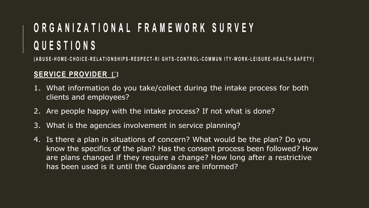# **O R G A N I Z A T I O N A L F R A M E W O R K S U R V E Y Q U E S T I O N S**

(ABUSE-HOME-CHOICE-RELATIONSHIPS-RESPECT-RI GHTS-CONTROL-COMMUN ITY-WORK-LEISURE-HEALTH-SAFETY)

#### **SERVICE PROVIDER**

- 1. What information do you take/collect during the intake process for both clients and employees?
- 2. Are people happy with the intake process? If not what is done?
- 3. What is the agencies involvement in service planning?
- 4. Is there a plan in situations of concern? What would be the plan? Do you know the specifics of the plan? Has the consent process been followed? How are plans changed if they require a change? How long after a restrictive has been used is it until the Guardians are informed?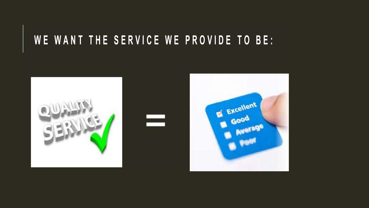# WE WANT THE SERVICE WE PROVIDE TO BE:

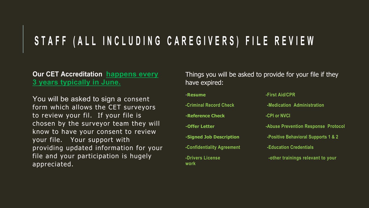# STAFF (ALL INCLUDING CAREGIVERS) FILE REVIEW

#### **Our CET Accreditation happens every 3 years typically in June.**

You will be asked to sign a consent form which allows the CET surveyors to review your fil. If your file is chosen by the surveyor team they will know to have your consent to review your file. Your support with providing updated information for your file and your participation is hugely appreciated.

Things you will be asked to provide for your file if they have expired:

### -**Resume -First Aid/CPR -Criminal Record Check -Medication Administration -Reference Check -CPI or NVCI -Offer Letter -Abuse Prevention Response Protocol -Signed Job Description -Positive Behavioral Supports 1 & 2 -Confidentiality Agreement -Education Credentials -Drivers License 1.2 Constant 1.2 Constant 1.2 Constant 1.2 Constant 1.2 Constant 1.2 Constant 1.2 Constant 1.2 Constant 1.2 Constant 1.2 Constant 1.2 Constant 1.2 Constant 1.2 Constant 1.2 Constant 1.2 Constant 1.2 Con work**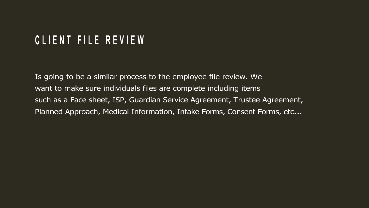# **C L I E N T F I L E R E V I E W**

Is going to be a similar process to the employee file review. We want to make sure individuals files are complete including items such as a Face sheet, ISP, Guardian Service Agreement, Trustee Agreement, Planned Approach, Medical Information, Intake Forms, Consent Forms, etc...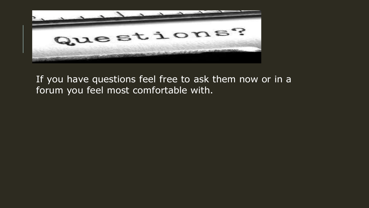

### If you have questions feel free to ask them now or in a forum you feel most comfortable with.